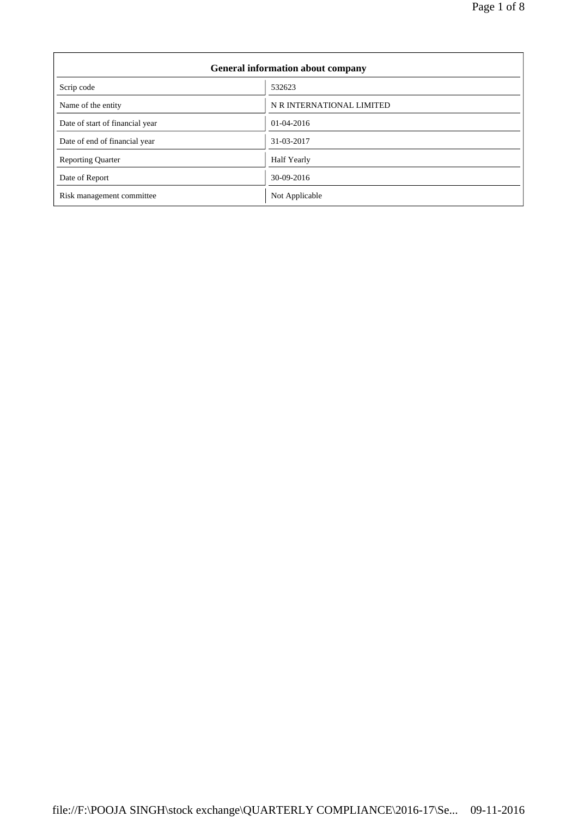$\overline{\phantom{0}}$ 

| <b>General information about company</b> |                           |  |  |
|------------------------------------------|---------------------------|--|--|
| Scrip code                               | 532623                    |  |  |
| Name of the entity                       | N R INTERNATIONAL LIMITED |  |  |
| Date of start of financial year          | $01-04-2016$              |  |  |
| Date of end of financial year            | 31-03-2017                |  |  |
| <b>Reporting Quarter</b>                 | Half Yearly               |  |  |
| Date of Report                           | 30-09-2016                |  |  |
| Risk management committee                | Not Applicable            |  |  |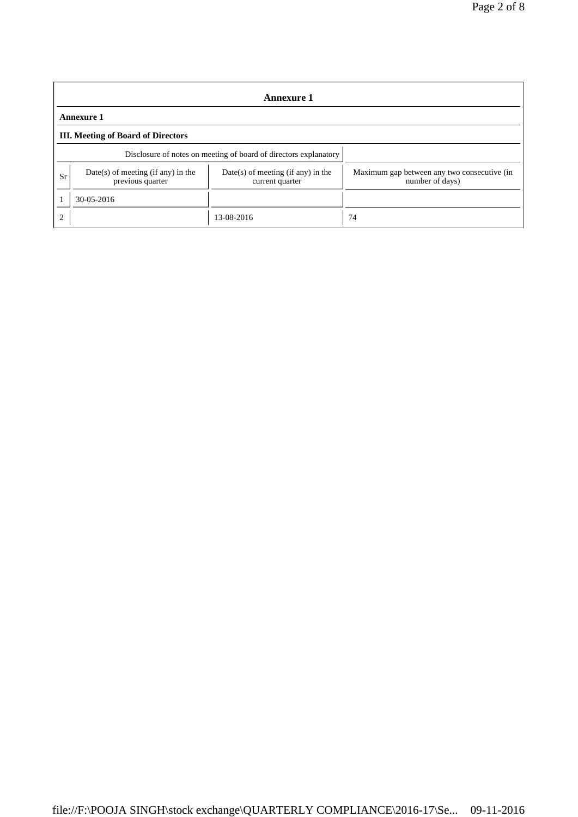| <b>Annexure 1</b> |                                                                  |                                                         |                                                                |  |  |
|-------------------|------------------------------------------------------------------|---------------------------------------------------------|----------------------------------------------------------------|--|--|
| <b>Annexure 1</b> |                                                                  |                                                         |                                                                |  |  |
|                   | <b>III.</b> Meeting of Board of Directors                        |                                                         |                                                                |  |  |
|                   | Disclosure of notes on meeting of board of directors explanatory |                                                         |                                                                |  |  |
| Sr                | $Date(s)$ of meeting (if any) in the<br>previous quarter         | $Date(s)$ of meeting (if any) in the<br>current quarter | Maximum gap between any two consecutive (in<br>number of days) |  |  |
|                   | 30-05-2016                                                       |                                                         |                                                                |  |  |
| $\mathcal{D}$     |                                                                  | 13-08-2016                                              | 74                                                             |  |  |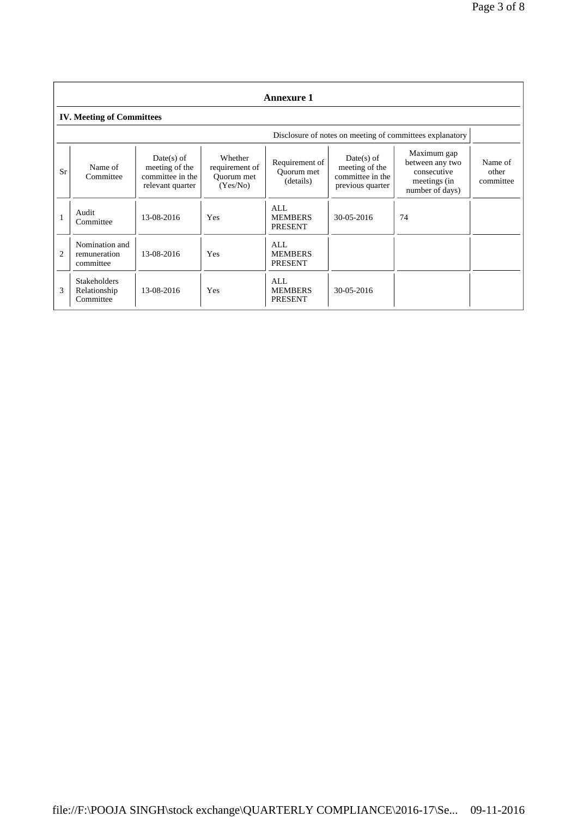| <b>Annexure 1</b> |                                                  |                                                                        |                                                     |                                           |                                                                        |                                                                                  |                               |
|-------------------|--------------------------------------------------|------------------------------------------------------------------------|-----------------------------------------------------|-------------------------------------------|------------------------------------------------------------------------|----------------------------------------------------------------------------------|-------------------------------|
|                   | <b>IV. Meeting of Committees</b>                 |                                                                        |                                                     |                                           |                                                                        |                                                                                  |                               |
|                   |                                                  |                                                                        |                                                     |                                           |                                                                        | Disclosure of notes on meeting of committees explanatory                         |                               |
| Sr                | Name of<br>Committee                             | $Date(s)$ of<br>meeting of the<br>committee in the<br>relevant quarter | Whether<br>requirement of<br>Ouorum met<br>(Yes/No) | Requirement of<br>Ouorum met<br>(details) | $Date(s)$ of<br>meeting of the<br>committee in the<br>previous quarter | Maximum gap<br>between any two<br>consecutive<br>meetings (in<br>number of days) | Name of<br>other<br>committee |
|                   | Audit<br>Committee                               | 13-08-2016                                                             | Yes                                                 | AI.<br><b>MEMBERS</b><br><b>PRESENT</b>   | $30 - 05 - 2016$                                                       | 74                                                                               |                               |
| $\overline{c}$    | Nomination and<br>remuneration<br>committee      | 13-08-2016                                                             | Yes                                                 | ALL<br><b>MEMBERS</b><br><b>PRESENT</b>   |                                                                        |                                                                                  |                               |
| 3                 | <b>Stakeholders</b><br>Relationship<br>Committee | 13-08-2016                                                             | Yes                                                 | ALL<br><b>MEMBERS</b><br><b>PRESENT</b>   | 30-05-2016                                                             |                                                                                  |                               |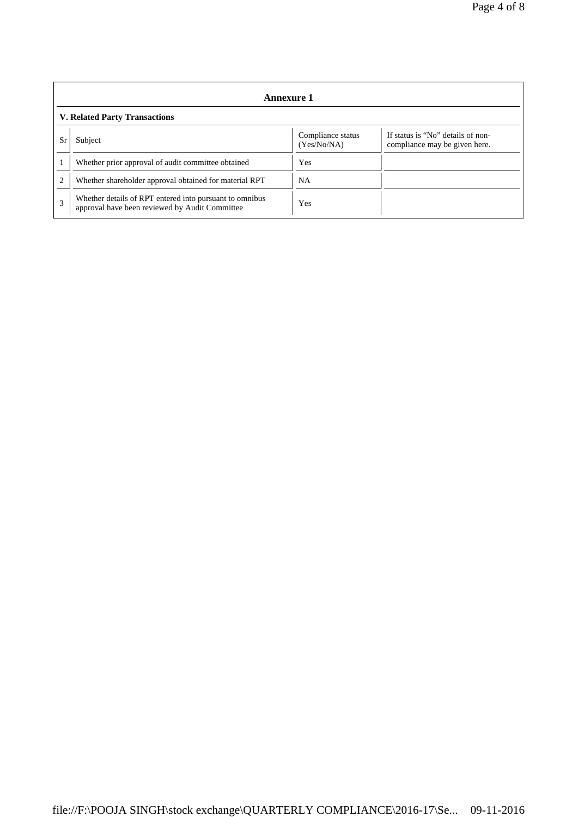| Annexure 1                           |                                                                                                           |                                  |                                                                    |  |
|--------------------------------------|-----------------------------------------------------------------------------------------------------------|----------------------------------|--------------------------------------------------------------------|--|
| <b>V. Related Party Transactions</b> |                                                                                                           |                                  |                                                                    |  |
| Sr                                   | Subject                                                                                                   | Compliance status<br>(Yes/No/NA) | If status is "No" details of non-<br>compliance may be given here. |  |
|                                      | Whether prior approval of audit committee obtained                                                        | Yes                              |                                                                    |  |
| $\overline{c}$                       | Whether shareholder approval obtained for material RPT                                                    | NA                               |                                                                    |  |
| 3                                    | Whether details of RPT entered into pursuant to omnibus<br>approval have been reviewed by Audit Committee | Yes                              |                                                                    |  |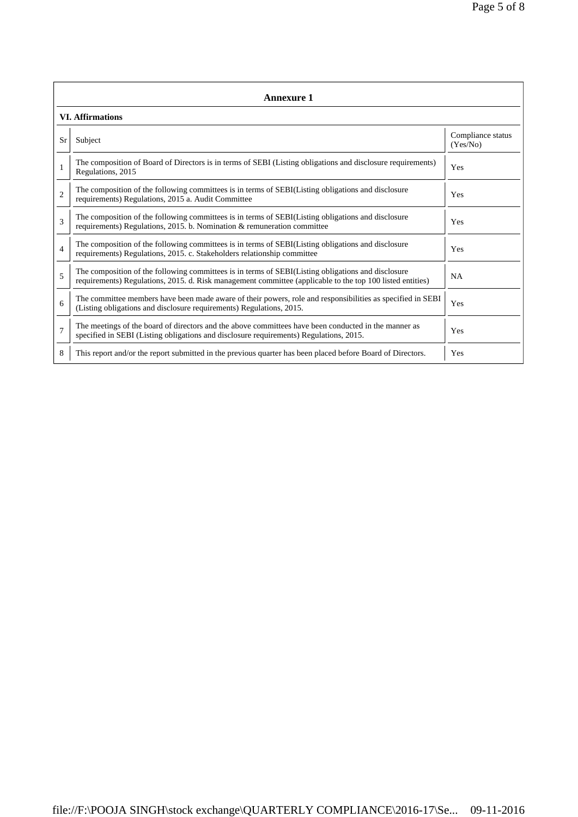|                | <b>Annexure 1</b>                                                                                                                                                                                               |                               |  |  |  |
|----------------|-----------------------------------------------------------------------------------------------------------------------------------------------------------------------------------------------------------------|-------------------------------|--|--|--|
|                | <b>VI.</b> Affirmations                                                                                                                                                                                         |                               |  |  |  |
| <b>Sr</b>      | Subject                                                                                                                                                                                                         | Compliance status<br>(Yes/No) |  |  |  |
|                | The composition of Board of Directors is in terms of SEBI (Listing obligations and disclosure requirements)<br>Regulations, 2015                                                                                | Yes                           |  |  |  |
| $\overline{c}$ | The composition of the following committees is in terms of SEBI(Listing obligations and disclosure<br>requirements) Regulations, 2015 a. Audit Committee                                                        | Yes                           |  |  |  |
| 3              | The composition of the following committees is in terms of SEBI(Listing obligations and disclosure<br>requirements) Regulations, 2015. b. Nomination $\&$ remuneration committee                                | Yes                           |  |  |  |
| $\overline{4}$ | The composition of the following committees is in terms of SEBI(Listing obligations and disclosure<br>requirements) Regulations, 2015. c. Stakeholders relationship committee                                   | Yes                           |  |  |  |
| 5              | The composition of the following committees is in terms of SEBI(Listing obligations and disclosure<br>requirements) Regulations, 2015. d. Risk management committee (applicable to the top 100 listed entities) | <b>NA</b>                     |  |  |  |
| 6              | The committee members have been made aware of their powers, role and responsibilities as specified in SEBI<br>(Listing obligations and disclosure requirements) Regulations, 2015.                              | Yes                           |  |  |  |
| $\overline{7}$ | The meetings of the board of directors and the above committees have been conducted in the manner as<br>specified in SEBI (Listing obligations and disclosure requirements) Regulations, 2015.                  | Yes                           |  |  |  |
| 8              | This report and/or the report submitted in the previous quarter has been placed before Board of Directors.                                                                                                      | Yes                           |  |  |  |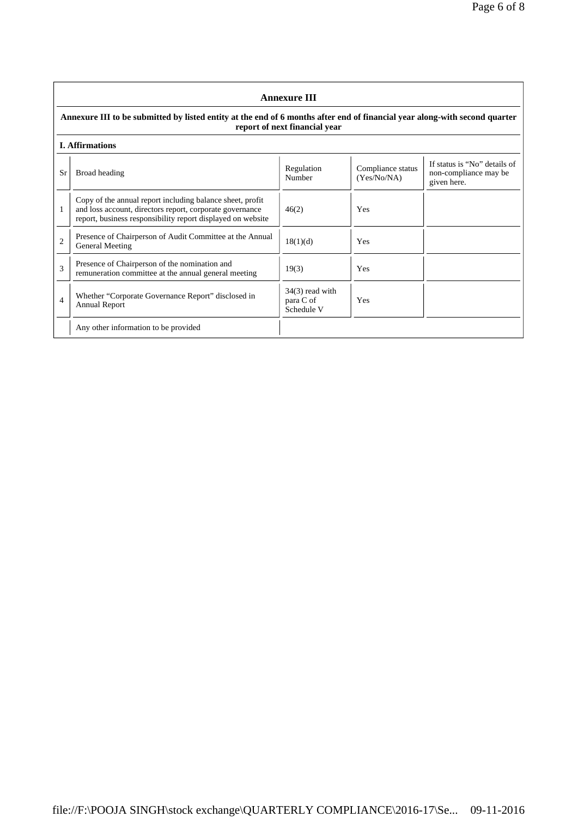|                | <b>Annexure III</b>                                                                                                                                                                  |                                              |                                  |                                                                      |  |
|----------------|--------------------------------------------------------------------------------------------------------------------------------------------------------------------------------------|----------------------------------------------|----------------------------------|----------------------------------------------------------------------|--|
|                | Annexure III to be submitted by listed entity at the end of 6 months after end of financial year along-with second quarter<br>report of next financial year                          |                                              |                                  |                                                                      |  |
|                | <b>I.</b> Affirmations                                                                                                                                                               |                                              |                                  |                                                                      |  |
| Sr             | Broad heading                                                                                                                                                                        | Regulation<br>Number                         | Compliance status<br>(Yes/No/NA) | If status is "No" details of<br>non-compliance may be<br>given here. |  |
| 1              | Copy of the annual report including balance sheet, profit<br>and loss account, directors report, corporate governance<br>report, business responsibility report displayed on website | 46(2)                                        | Yes                              |                                                                      |  |
| $\overline{c}$ | Presence of Chairperson of Audit Committee at the Annual<br>General Meeting                                                                                                          | 18(1)(d)                                     | Yes                              |                                                                      |  |
| 3              | Presence of Chairperson of the nomination and<br>remuneration committee at the annual general meeting                                                                                | 19(3)                                        | Yes                              |                                                                      |  |
| 4              | Whether "Corporate Governance Report" disclosed in<br>Annual Report                                                                                                                  | $34(3)$ read with<br>para C of<br>Schedule V | Yes                              |                                                                      |  |
|                | Any other information to be provided                                                                                                                                                 |                                              |                                  |                                                                      |  |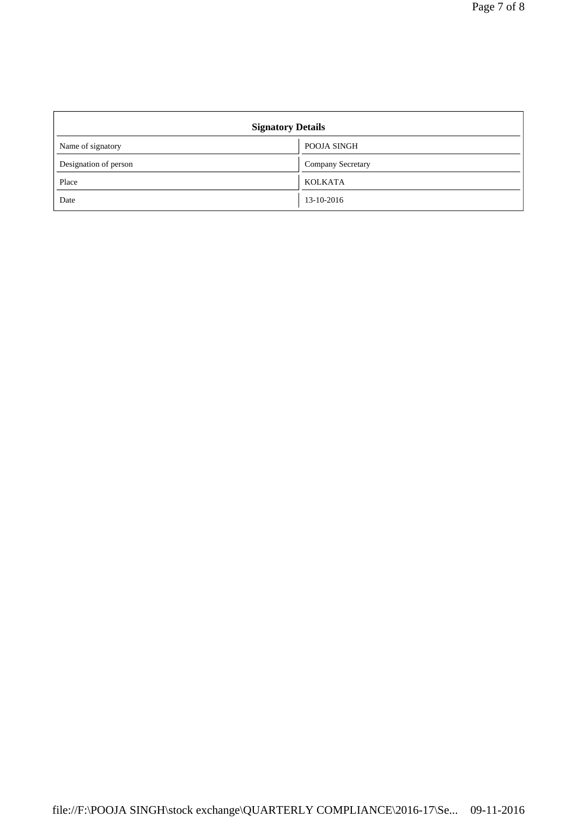| <b>Signatory Details</b> |                          |  |  |
|--------------------------|--------------------------|--|--|
| Name of signatory        | POOJA SINGH              |  |  |
| Designation of person    | <b>Company Secretary</b> |  |  |
| Place                    | <b>KOLKATA</b>           |  |  |
| Date                     | 13-10-2016               |  |  |